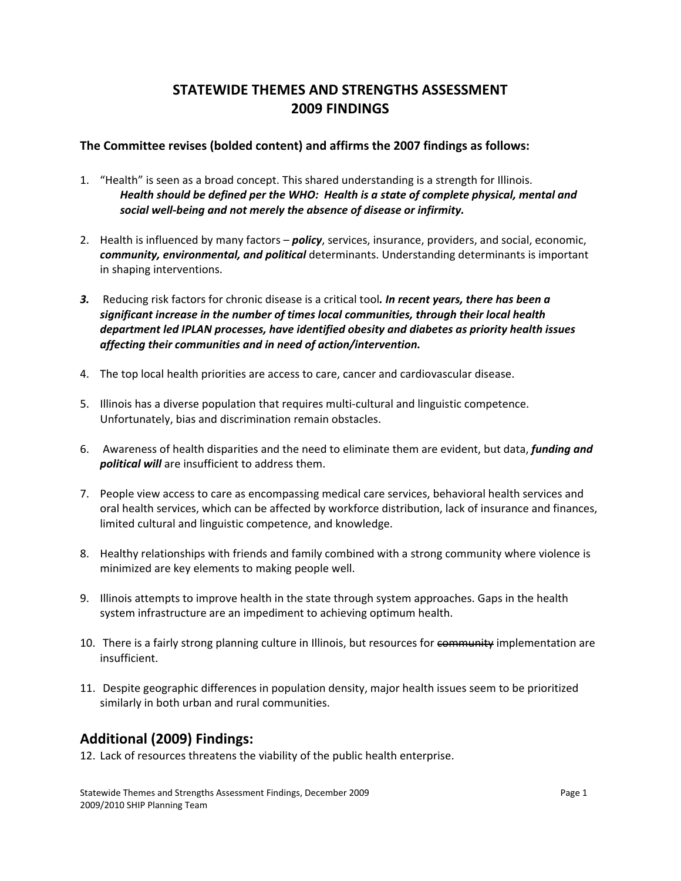## **STATEWIDE THEMES AND STRENGTHS ASSESSMENT 2009 FINDINGS**

## **The Committee revises (bolded content) and affirms the 2007 findings as follows:**

- 1. "Health" is seen as a broad concept. This shared understanding is a strength for Illinois. *Health should be defined per the WHO: Health is a state of complete physical, mental and social well‐being and not merely the absence of disease or infirmity.*
- 2. Health is influenced by many factors *policy*, services, insurance, providers, and social, economic, *community, environmental, and political* determinants. Understanding determinants is important in shaping interventions.
- *3.* Reducing risk factors for chronic disease is a critical tool*. In recent years, there has been a significant increase in the number of times local communities, through their local health department led IPLAN processes, have identified obesity and diabetes as priority health issues affecting their communities and in need of action/intervention.*
- 4. The top local health priorities are access to care, cancer and cardiovascular disease.
- 5. Illinois has a diverse population that requires multi-cultural and linguistic competence. Unfortunately, bias and discrimination remain obstacles.
- 6. Awareness of health disparities and the need to eliminate them are evident, but data, *funding and political will* are insufficient to address them.
- 7. People view access to care as encompassing medical care services, behavioral health services and oral health services, which can be affected by workforce distribution, lack of insurance and finances, limited cultural and linguistic competence, and knowledge.
- 8. Healthy relationships with friends and family combined with a strong community where violence is minimized are key elements to making people well.
- 9. Illinois attempts to improve health in the state through system approaches. Gaps in the health system infrastructure are an impediment to achieving optimum health.
- 10. There is a fairly strong planning culture in Illinois, but resources for community implementation are insufficient.
- 11. Despite geographic differences in population density, major health issues seem to be prioritized similarly in both urban and rural communities.

## **Additional (2009) Findings:**

12. Lack of resources threatens the viability of the public health enterprise.